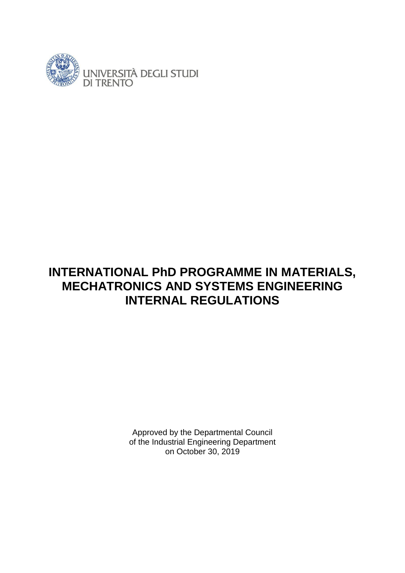

Approved by the Departmental Council of the Industrial Engineering Department on October 30, 2019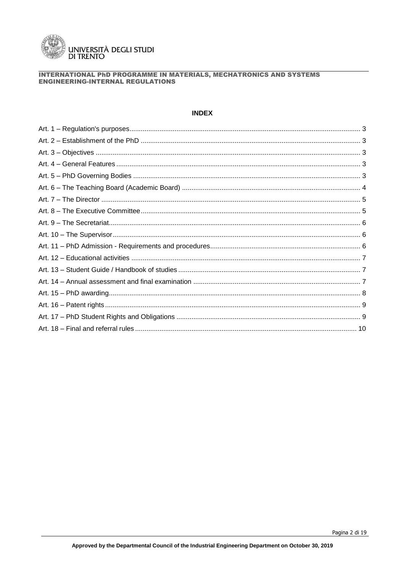

# **INDEX**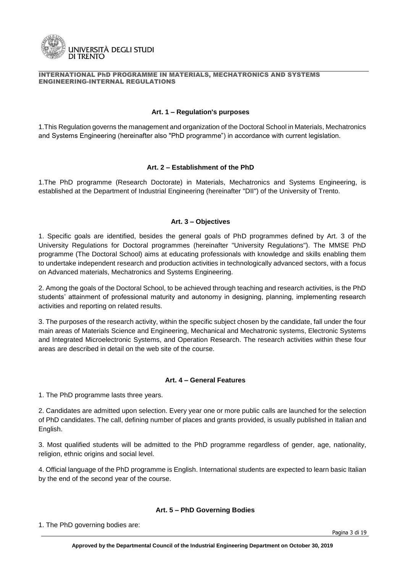

#### **Art. 1 – Regulation's purposes**

1.This Regulation governs the management and organization of the Doctoral School in Materials, Mechatronics and Systems Engineering (hereinafter also "PhD programme") in accordance with current legislation.

#### **Art. 2 – Establishment of the PhD**

1.The PhD programme (Research Doctorate) in Materials, Mechatronics and Systems Engineering, is established at the Department of Industrial Engineering (hereinafter "DII") of the University of Trento.

#### **Art. 3 – Objectives**

1. Specific goals are identified, besides the general goals of PhD programmes defined by Art. 3 of the University Regulations for Doctoral programmes (hereinafter "University Regulations"). The MMSE PhD programme (The Doctoral School) aims at educating professionals with knowledge and skills enabling them to undertake independent research and production activities in technologically advanced sectors, with a focus on Advanced materials, Mechatronics and Systems Engineering.

2. Among the goals of the Doctoral School, to be achieved through teaching and research activities, is the PhD students' attainment of professional maturity and autonomy in designing, planning, implementing research activities and reporting on related results.

3. The purposes of the research activity, within the specific subject chosen by the candidate, fall under the four main areas of Materials Science and Engineering, Mechanical and Mechatronic systems, Electronic Systems and Integrated Microelectronic Systems, and Operation Research. The research activities within these four areas are described in detail on the web site of the course.

# **Art. 4 – General Features**

1. The PhD programme lasts three years.

2. Candidates are admitted upon selection. Every year one or more public calls are launched for the selection of PhD candidates. The call, defining number of places and grants provided, is usually published in Italian and English.

3. Most qualified students will be admitted to the PhD programme regardless of gender, age, nationality, religion, ethnic origins and social level.

4. Official language of the PhD programme is English. International students are expected to learn basic Italian by the end of the second year of the course.

#### **Art. 5 – PhD Governing Bodies**

1. The PhD governing bodies are: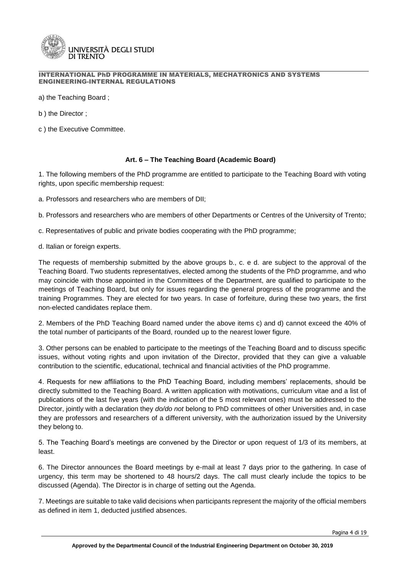

a) the Teaching Board ;

b ) the Director ;

c ) the Executive Committee.

# **Art. 6 – The Teaching Board (Academic Board)**

1. The following members of the PhD programme are entitled to participate to the Teaching Board with voting rights, upon specific membership request:

a. Professors and researchers who are members of DII;

b. Professors and researchers who are members of other Departments or Centres of the University of Trento;

c. Representatives of public and private bodies cooperating with the PhD programme;

d. Italian or foreign experts.

The requests of membership submitted by the above groups b., c. e d. are subject to the approval of the Teaching Board. Two students representatives, elected among the students of the PhD programme, and who may coincide with those appointed in the Committees of the Department, are qualified to participate to the meetings of Teaching Board, but only for issues regarding the general progress of the programme and the training Programmes. They are elected for two years. In case of forfeiture, during these two years, the first non-elected candidates replace them.

2. Members of the PhD Teaching Board named under the above items c) and d) cannot exceed the 40% of the total number of participants of the Board, rounded up to the nearest lower figure.

3. Other persons can be enabled to participate to the meetings of the Teaching Board and to discuss specific issues, without voting rights and upon invitation of the Director, provided that they can give a valuable contribution to the scientific, educational, technical and financial activities of the PhD programme.

4. Requests for new affiliations to the PhD Teaching Board, including members' replacements, should be directly submitted to the Teaching Board. A written application with motivations, curriculum vitae and a list of publications of the last five years (with the indication of the 5 most relevant ones) must be addressed to the Director, jointly with a declaration they *do/do not* belong to PhD committees of other Universities and, in case they are professors and researchers of a different university, with the authorization issued by the University they belong to.

5. The Teaching Board's meetings are convened by the Director or upon request of 1/3 of its members, at least.

6. The Director announces the Board meetings by e-mail at least 7 days prior to the gathering. In case of urgency, this term may be shortened to 48 hours/2 days. The call must clearly include the topics to be discussed (Agenda). The Director is in charge of setting out the Agenda.

7. Meetings are suitable to take valid decisions when participants represent the majority of the official members as defined in item 1, deducted justified absences.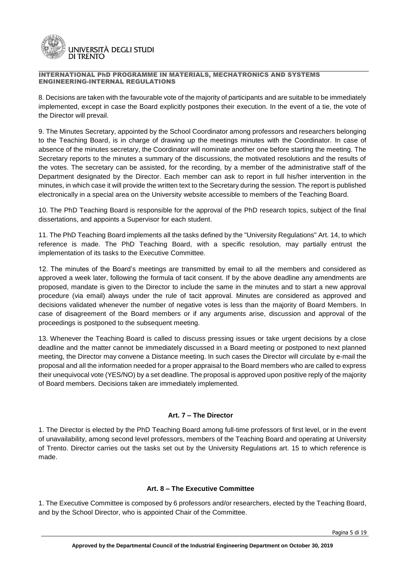

8. Decisions are taken with the favourable vote of the majority of participants and are suitable to be immediately implemented, except in case the Board explicitly postpones their execution. In the event of a tie, the vote of the Director will prevail.

9. The Minutes Secretary, appointed by the School Coordinator among professors and researchers belonging to the Teaching Board, is in charge of drawing up the meetings minutes with the Coordinator. In case of absence of the minutes secretary, the Coordinator will nominate another one before starting the meeting. The Secretary reports to the minutes a summary of the discussions, the motivated resolutions and the results of the votes. The secretary can be assisted, for the recording, by a member of the administrative staff of the Department designated by the Director. Each member can ask to report in full his/her intervention in the minutes, in which case it will provide the written text to the Secretary during the session. The report is published electronically in a special area on the University website accessible to members of the Teaching Board.

10. The PhD Teaching Board is responsible for the approval of the PhD research topics, subject of the final dissertations, and appoints a Supervisor for each student.

11. The PhD Teaching Board implements all the tasks defined by the "University Regulations" Art. 14, to which reference is made. The PhD Teaching Board, with a specific resolution, may partially entrust the implementation of its tasks to the Executive Committee.

12. The minutes of the Board's meetings are transmitted by email to all the members and considered as approved a week later, following the formula of tacit consent. If by the above deadline any amendments are proposed, mandate is given to the Director to include the same in the minutes and to start a new approval procedure (via email) always under the rule of tacit approval. Minutes are considered as approved and decisions validated whenever the number of negative votes is less than the majority of Board Members. In case of disagreement of the Board members or if any arguments arise, discussion and approval of the proceedings is postponed to the subsequent meeting.

13. Whenever the Teaching Board is called to discuss pressing issues or take urgent decisions by a close deadline and the matter cannot be immediately discussed in a Board meeting or postponed to next planned meeting, the Director may convene a Distance meeting. In such cases the Director will circulate by e-mail the proposal and all the information needed for a proper appraisal to the Board members who are called to express their unequivocal vote (YES/NO) by a set deadline. The proposal is approved upon positive reply of the majority of Board members. Decisions taken are immediately implemented.

# **Art. 7 – The Director**

1. The Director is elected by the PhD Teaching Board among full-time professors of first level, or in the event of unavailability, among second level professors, members of the Teaching Board and operating at University of Trento. Director carries out the tasks set out by the University Regulations art. 15 to which reference is made.

# **Art. 8 – The Executive Committee**

1. The Executive Committee is composed by 6 professors and/or researchers, elected by the Teaching Board, and by the School Director, who is appointed Chair of the Committee.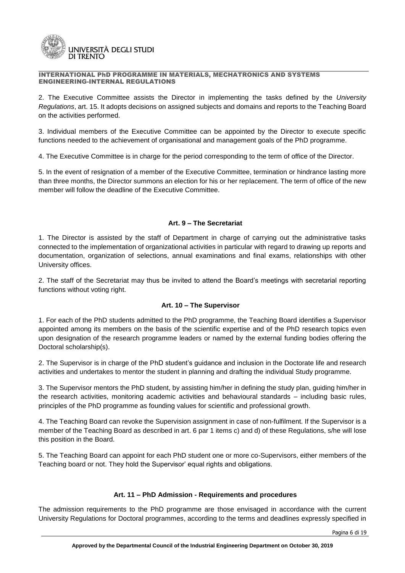

2. The Executive Committee assists the Director in implementing the tasks defined by the *University Regulations*, art. 15. It adopts decisions on assigned subjects and domains and reports to the Teaching Board on the activities performed.

3. Individual members of the Executive Committee can be appointed by the Director to execute specific functions needed to the achievement of organisational and management goals of the PhD programme.

4. The Executive Committee is in charge for the period corresponding to the term of office of the Director.

5. In the event of resignation of a member of the Executive Committee, termination or hindrance lasting more than three months, the Director summons an election for his or her replacement. The term of office of the new member will follow the deadline of the Executive Committee.

# **Art. 9 – The Secretariat**

1. The Director is assisted by the staff of Department in charge of carrying out the administrative tasks connected to the implementation of organizational activities in particular with regard to drawing up reports and documentation, organization of selections, annual examinations and final exams, relationships with other University offices.

2. The staff of the Secretariat may thus be invited to attend the Board's meetings with secretarial reporting functions without voting right.

# **Art. 10 – The Supervisor**

1. For each of the PhD students admitted to the PhD programme, the Teaching Board identifies a Supervisor appointed among its members on the basis of the scientific expertise and of the PhD research topics even upon designation of the research programme leaders or named by the external funding bodies offering the Doctoral scholarship(s).

2. The Supervisor is in charge of the PhD student's guidance and inclusion in the Doctorate life and research activities and undertakes to mentor the student in planning and drafting the individual Study programme.

3. The Supervisor mentors the PhD student, by assisting him/her in defining the study plan, guiding him/her in the research activities, monitoring academic activities and behavioural standards – including basic rules, principles of the PhD programme as founding values for scientific and professional growth.

4. The Teaching Board can revoke the Supervision assignment in case of non-fulfilment. If the Supervisor is a member of the Teaching Board as described in art. 6 par 1 items c) and d) of these Regulations, s/he will lose this position in the Board.

5. The Teaching Board can appoint for each PhD student one or more co-Supervisors, either members of the Teaching board or not. They hold the Supervisor' equal rights and obligations.

# **Art. 11 – PhD Admission - Requirements and procedures**

The admission requirements to the PhD programme are those envisaged in accordance with the current University Regulations for Doctoral programmes, according to the terms and deadlines expressly specified in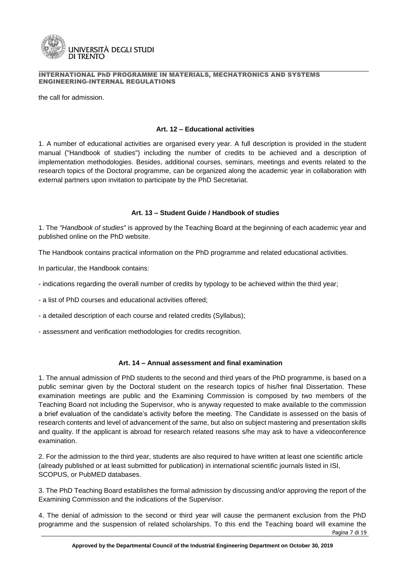

the call for admission.

#### **Art. 12 – Educational activities**

1. A number of educational activities are organised every year. A full description is provided in the student manual ("Handbook of studies") including the number of credits to be achieved and a description of implementation methodologies. Besides, additional courses, seminars, meetings and events related to the research topics of the Doctoral programme, can be organized along the academic year in collaboration with external partners upon invitation to participate by the PhD Secretariat.

# **Art. 13 – Student Guide / Handbook of studies**

1. The *"Handbook of studies*" is approved by the Teaching Board at the beginning of each academic year and published online on the PhD website.

The Handbook contains practical information on the PhD programme and related educational activities.

In particular, the Handbook contains:

- indications regarding the overall number of credits by typology to be achieved within the third year;
- a list of PhD courses and educational activities offered;
- a detailed description of each course and related credits (Syllabus);
- assessment and verification methodologies for credits recognition.

# **Art. 14 – Annual assessment and final examination**

1. The annual admission of PhD students to the second and third years of the PhD programme, is based on a public seminar given by the Doctoral student on the research topics of his/her final Dissertation. These examination meetings are public and the Examining Commission is composed by two members of the Teaching Board not including the Supervisor, who is anyway requested to make available to the commission a brief evaluation of the candidate's activity before the meeting. The Candidate is assessed on the basis of research contents and level of advancement of the same, but also on subject mastering and presentation skills and quality. If the applicant is abroad for research related reasons s/he may ask to have a videoconference examination.

2. For the admission to the third year, students are also required to have written at least one scientific article (already published or at least submitted for publication) in international scientific journals listed in ISI, SCOPUS, or PubMED databases.

3. The PhD Teaching Board establishes the formal admission by discussing and/or approving the report of the Examining Commission and the indications of the Supervisor.

Pagina 7 di 19 4. The denial of admission to the second or third year will cause the permanent exclusion from the PhD programme and the suspension of related scholarships. To this end the Teaching board will examine the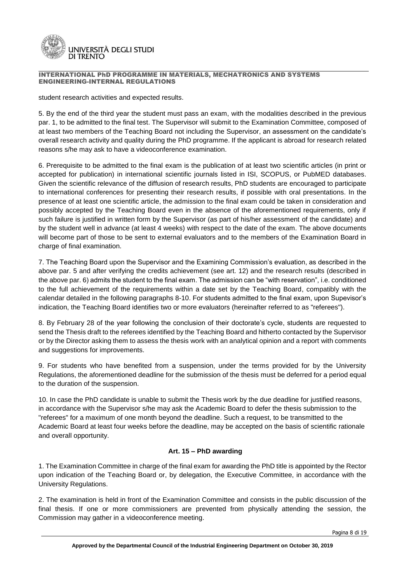

student research activities and expected results.

5. By the end of the third year the student must pass an exam, with the modalities described in the previous par. 1, to be admitted to the final test. The Supervisor will submit to the Examination Committee, composed of at least two members of the Teaching Board not including the Supervisor, an assessment on the candidate's overall research activity and quality during the PhD programme. If the applicant is abroad for research related reasons s/he may ask to have a videoconference examination.

6. Prerequisite to be admitted to the final exam is the publication of at least two scientific articles (in print or accepted for publication) in international scientific journals listed in ISI, SCOPUS, or PubMED databases. Given the scientific relevance of the diffusion of research results, PhD students are encouraged to participate to international conferences for presenting their research results, if possible with oral presentations. In the presence of at least one scientific article, the admission to the final exam could be taken in consideration and possibly accepted by the Teaching Board even in the absence of the aforementioned requirements, only if such failure is justified in written form by the Supervisor (as part of his/her assessment of the candidate) and by the student well in advance (at least 4 weeks) with respect to the date of the exam. The above documents will become part of those to be sent to external evaluators and to the members of the Examination Board in charge of final examination.

7. The Teaching Board upon the Supervisor and the Examining Commission's evaluation, as described in the above par. 5 and after verifying the credits achievement (see art. 12) and the research results (described in the above par. 6) admits the student to the final exam. The admission can be "with reservation", i.e. conditioned to the full achievement of the requirements within a date set by the Teaching Board, compatibly with the calendar detailed in the following paragraphs 8-10. For students admitted to the final exam, upon Supevisor's indication, the Teaching Board identifies two or more evaluators (hereinafter referred to as "referees").

8. By February 28 of the year following the conclusion of their doctorate's cycle, students are requested to send the Thesis draft to the referees identified by the Teaching Board and hitherto contacted by the Supervisor or by the Director asking them to assess the thesis work with an analytical opinion and a report with comments and suggestions for improvements.

9. For students who have benefited from a suspension, under the terms provided for by the University Regulations, the aforementioned deadline for the submission of the thesis must be deferred for a period equal to the duration of the suspension.

10. In case the PhD candidate is unable to submit the Thesis work by the due deadline for justified reasons, in accordance with the Supervisor s/he may ask the Academic Board to defer the thesis submission to the "referees" for a maximum of one month beyond the deadline. Such a request, to be transmitted to the Academic Board at least four weeks before the deadline, may be accepted on the basis of scientific rationale and overall opportunity.

# **Art. 15 – PhD awarding**

1. The Examination Committee in charge of the final exam for awarding the PhD title is appointed by the Rector upon indication of the Teaching Board or, by delegation, the Executive Committee, in accordance with the University Regulations.

2. The examination is held in front of the Examination Committee and consists in the public discussion of the final thesis. If one or more commissioners are prevented from physically attending the session, the Commission may gather in a videoconference meeting.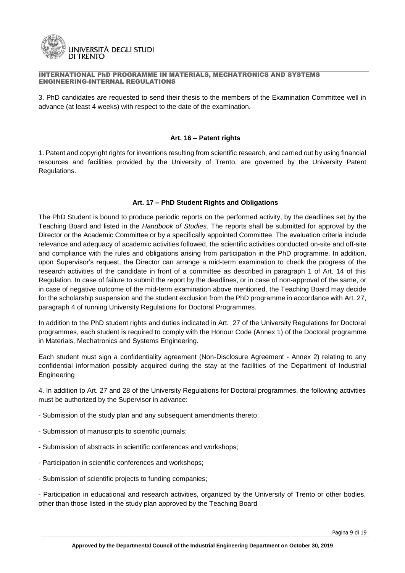

3. PhD candidates are requested to send their thesis to the members of the Examination Committee well in advance (at least 4 weeks) with respect to the date of the examination.

#### **Art. 16 – Patent rights**

1. Patent and copyright rights for inventions resulting from scientific research, and carried out by using financial resources and facilities provided by the University of Trento, are governed by the University Patent Regulations.

# **Art. 17 – PhD Student Rights and Obligations**

The PhD Student is bound to produce periodic reports on the performed activity, by the deadlines set by the Teaching Board and listed in the *Handbook of Studies*. The reports shall be submitted for approval by the Director or the Academic Committee or by a specifically appointed Committee. The evaluation criteria include relevance and adequacy of academic activities followed, the scientific activities conducted on-site and off-site and compliance with the rules and obligations arising from participation in the PhD programme. In addition, upon Supervisor's request, the Director can arrange a mid-term examination to check the progress of the research activities of the candidate in front of a committee as described in paragraph 1 of Art. 14 of this Regulation. In case of failure to submit the report by the deadlines, or in case of non-approval of the same, or in case of negative outcome of the mid-term examination above mentioned, the Teaching Board may decide for the scholarship suspension and the student exclusion from the PhD programme in accordance with Art. 27, paragraph 4 of running University Regulations for Doctoral Programmes.

In addition to the PhD student rights and duties indicated in Art. 27 of the University Regulations for Doctoral programmes, each student is required to comply with the Honour Code (Annex 1) of the Doctoral programme in Materials, Mechatronics and Systems Engineering.

Each student must sign a confidentiality agreement (Non-Disclosure Agreement - Annex 2) relating to any confidential information possibly acquired during the stay at the facilities of the Department of Industrial Engineering

4. In addition to Art. 27 and 28 of the University Regulations for Doctoral programmes, the following activities must be authorized by the Supervisor in advance:

- Submission of the study plan and any subsequent amendments thereto;
- Submission of manuscripts to scientific journals;
- Submission of abstracts in scientific conferences and workshops;
- Participation in scientific conferences and workshops;
- Submission of scientific projects to funding companies;

- Participation in educational and research activities, organized by the University of Trento or other bodies, other than those listed in the study plan approved by the Teaching Board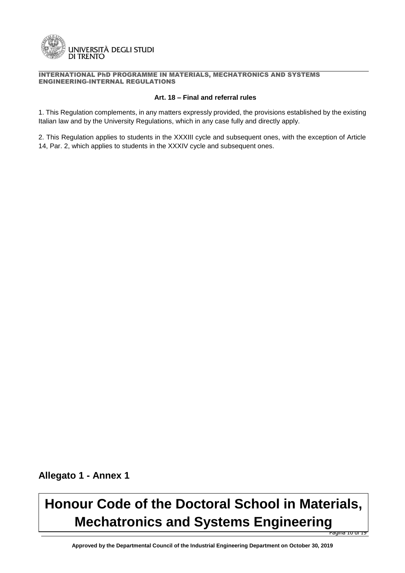

#### **Art. 18 – Final and referral rules**

1. This Regulation complements, in any matters expressly provided, the provisions established by the existing Italian law and by the University Regulations, which in any case fully and directly apply.

2. This Regulation applies to students in the XXXIII cycle and subsequent ones, with the exception of Article 14, Par. 2, which applies to students in the XXXIV cycle and subsequent ones.

**Allegato 1 - Annex 1**

# .<br>Pagina 10 di 19 **Honour Code of the Doctoral School in Materials, Mechatronics and Systems Engineering**

**Approved by the Departmental Council of the Industrial Engineering Department on October 30, 2019**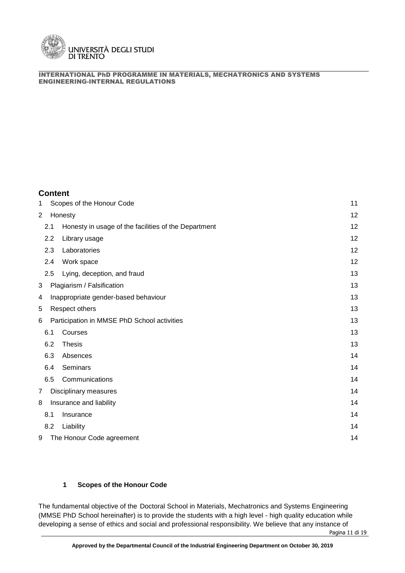

# **Content**

| 1 |     | Scopes of the Honour Code                            | 11 |
|---|-----|------------------------------------------------------|----|
| 2 |     | Honesty                                              | 12 |
|   | 2.1 | Honesty in usage of the facilities of the Department | 12 |
|   | 2.2 | Library usage                                        | 12 |
|   | 2.3 | Laboratories                                         | 12 |
|   | 2.4 | Work space                                           | 12 |
|   | 2.5 | Lying, deception, and fraud                          | 13 |
| 3 |     | Plagiarism / Falsification                           | 13 |
| 4 |     | Inappropriate gender-based behaviour                 | 13 |
| 5 |     | Respect others                                       | 13 |
| 6 |     | Participation in MMSE PhD School activities          | 13 |
|   | 6.1 | Courses                                              | 13 |
|   | 6.2 | <b>Thesis</b>                                        | 13 |
|   | 6.3 | Absences                                             | 14 |
|   | 6.4 | Seminars                                             | 14 |
|   | 6.5 | Communications                                       | 14 |
| 7 |     | Disciplinary measures                                | 14 |
| 8 |     | Insurance and liability                              | 14 |
|   | 8.1 | Insurance                                            | 14 |
|   | 8.2 | Liability                                            | 14 |
| 9 |     | The Honour Code agreement                            | 14 |

# **1 Scopes of the Honour Code**

The fundamental objective of the Doctoral School in Materials, Mechatronics and Systems Engineering (MMSE PhD School hereinafter) is to provide the students with a high level - high quality education while developing a sense of ethics and social and professional responsibility. We believe that any instance of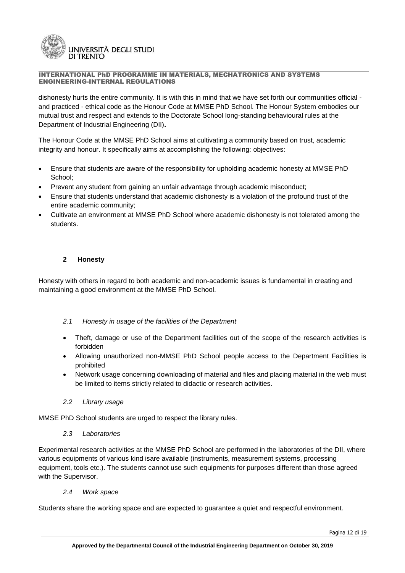

dishonesty hurts the entire community. It is with this in mind that we have set forth our communities official and practiced - ethical code as the Honour Code at MMSE PhD School. The Honour System embodies our mutual trust and respect and extends to the Doctorate School long-standing behavioural rules at the Department of Industrial Engineering (DII)**.**

The Honour Code at the MMSE PhD School aims at cultivating a community based on trust, academic integrity and honour. It specifically aims at accomplishing the following: objectives:

- Ensure that students are aware of the responsibility for upholding academic honesty at MMSE PhD School;
- Prevent any student from gaining an unfair advantage through academic misconduct;
- Ensure that students understand that academic dishonesty is a violation of the profound trust of the entire academic community;
- Cultivate an environment at MMSE PhD School where academic dishonesty is not tolerated among the students.

# **2 Honesty**

Honesty with others in regard to both academic and non-academic issues is fundamental in creating and maintaining a good environment at the MMSE PhD School.

# *2.1 Honesty in usage of the facilities of the Department*

- Theft, damage or use of the Department facilities out of the scope of the research activities is forbidden
- Allowing unauthorized non-MMSE PhD School people access to the Department Facilities is prohibited
- Network usage concerning downloading of material and files and placing material in the web must be limited to items strictly related to didactic or research activities.

# *2.2 Library usage*

MMSE PhD School students are urged to respect the library rules.

# *2.3 Laboratories*

Experimental research activities at the MMSE PhD School are performed in the laboratories of the DII, where various equipments of various kind isare available (instruments, measurement systems, processing equipment, tools etc.). The students cannot use such equipments for purposes different than those agreed with the Supervisor.

# *2.4 Work space*

Students share the working space and are expected to guarantee a quiet and respectful environment.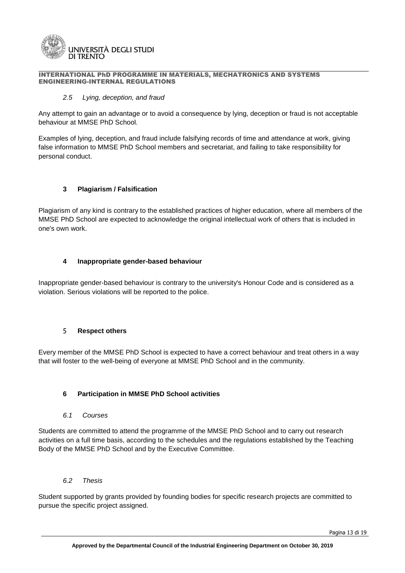

#### *2.5 Lying, deception, and fraud*

Any attempt to gain an advantage or to avoid a consequence by lying, deception or fraud is not acceptable behaviour at MMSE PhD School.

Examples of lying, deception, and fraud include falsifying records of time and attendance at work, giving false information to MMSE PhD School members and secretariat, and failing to take responsibility for personal conduct.

# **3 Plagiarism / Falsification**

Plagiarism of any kind is contrary to the established practices of higher education, where all members of the MMSE PhD School are expected to acknowledge the original intellectual work of others that is included in one's own work.

# **4 Inappropriate gender-based behaviour**

Inappropriate gender-based behaviour is contrary to the university's Honour Code and is considered as a violation. Serious violations will be reported to the police.

# 5 **Respect others**

Every member of the MMSE PhD School is expected to have a correct behaviour and treat others in a way that will foster to the well-being of everyone at MMSE PhD School and in the community.

# **6 Participation in MMSE PhD School activities**

# *6.1 Courses*

Students are committed to attend the programme of the MMSE PhD School and to carry out research activities on a full time basis, according to the schedules and the regulations established by the Teaching Body of the MMSE PhD School and by the Executive Committee.

# *6.2 Thesis*

Student supported by grants provided by founding bodies for specific research projects are committed to pursue the specific project assigned.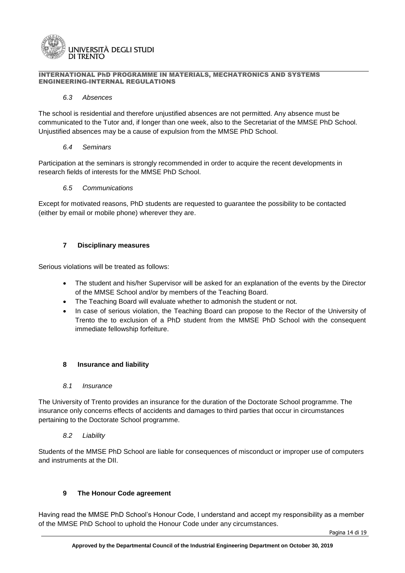

# *6.3 Absences*

The school is residential and therefore unjustified absences are not permitted. Any absence must be communicated to the Tutor and, if longer than one week, also to the Secretariat of the MMSE PhD School. Unjustified absences may be a cause of expulsion from the MMSE PhD School.

#### *6.4 Seminars*

Participation at the seminars is strongly recommended in order to acquire the recent developments in research fields of interests for the MMSE PhD School.

#### *6.5 Communications*

Except for motivated reasons, PhD students are requested to guarantee the possibility to be contacted (either by email or mobile phone) wherever they are.

# **7 Disciplinary measures**

Serious violations will be treated as follows:

- The student and his/her Supervisor will be asked for an explanation of the events by the Director of the MMSE School and/or by members of the Teaching Board.
- The Teaching Board will evaluate whether to admonish the student or not.
- In case of serious violation, the Teaching Board can propose to the Rector of the University of Trento the to exclusion of a PhD student from the MMSE PhD School with the consequent immediate fellowship forfeiture.

# **8 Insurance and liability**

# *8.1 Insurance*

The University of Trento provides an insurance for the duration of the Doctorate School programme. The insurance only concerns effects of accidents and damages to third parties that occur in circumstances pertaining to the Doctorate School programme.

# *8.2 Liability*

Students of the MMSE PhD School are liable for consequences of misconduct or improper use of computers and instruments at the DII.

# **9 The Honour Code agreement**

Having read the MMSE PhD School's Honour Code, I understand and accept my responsibility as a member of the MMSE PhD School to uphold the Honour Code under any circumstances.

Pagina 14 di 19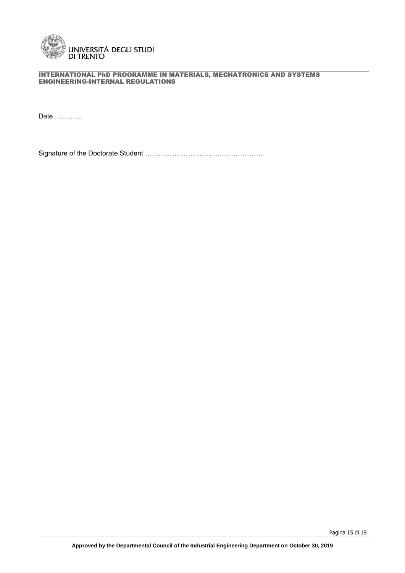

Date …………

Signature of the Doctorate Student …………………………………………….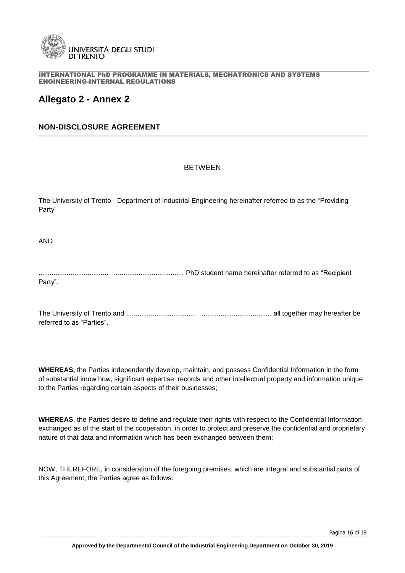

# **Allegato 2 - Annex 2**

# **NON-DISCLOSURE AGREEMENT**

# BETWEEN

The University of Trento - Department of Industrial Engineering hereinafter referred to as the "Providing Party"

AND

..................................... ..................................... PhD student name hereinafter referred to as "Recipient Party".

The University of Trento and ..................................... ..................................... all together may hereafter be referred to as "Parties".

**WHEREAS,** the Parties independently develop, maintain, and possess Confidential Information in the form of substantial know how, significant expertise, records and other intellectual property and information unique to the Parties regarding certain aspects of their businesses;

**WHEREAS**, the Parties desire to define and regulate their rights with respect to the Confidential Information exchanged as of the start of the cooperation, in order to protect and preserve the confidential and proprietary nature of that data and information which has been exchanged between them;

NOW, THEREFORE, in consideration of the foregoing premises, which are integral and substantial parts of this Agreement, the Parties agree as follows: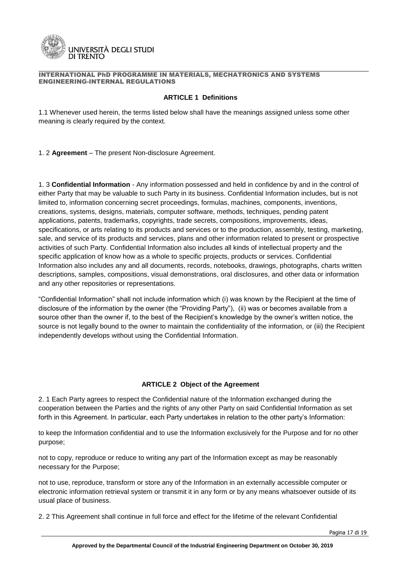

# **ARTICLE 1 Definitions**

1.1 Whenever used herein, the terms listed below shall have the meanings assigned unless some other meaning is clearly required by the context.

1. 2 **Agreement** – The present Non-disclosure Agreement.

1. 3 **Confidential Information** - Any information possessed and held in confidence by and in the control of either Party that may be valuable to such Party in its business. Confidential Information includes, but is not limited to, information concerning secret proceedings, formulas, machines, components, inventions, creations, systems, designs, materials, computer software, methods, techniques, pending patent applications, patents, trademarks, copyrights, trade secrets, compositions, improvements, ideas, specifications, or arts relating to its products and services or to the production, assembly, testing, marketing, sale, and service of its products and services, plans and other information related to present or prospective activities of such Party. Confidential Information also includes all kinds of intellectual property and the specific application of know how as a whole to specific projects, products or services. Confidential Information also includes any and all documents, records, notebooks, drawings, photographs, charts written descriptions, samples, compositions, visual demonstrations, oral disclosures, and other data or information and any other repositories or representations.

"Confidential Information" shall not include information which (i) was known by the Recipient at the time of disclosure of the information by the owner (the "Providing Party"), (ii) was or becomes available from a source other than the owner if, to the best of the Recipient's knowledge by the owner's written notice, the source is not legally bound to the owner to maintain the confidentiality of the information, or (iii) the Recipient independently develops without using the Confidential Information.

# **ARTICLE 2 Object of the Agreement**

2. 1 Each Party agrees to respect the Confidential nature of the Information exchanged during the cooperation between the Parties and the rights of any other Party on said Confidential Information as set forth in this Agreement. In particular, each Party undertakes in relation to the other party's Information:

to keep the Information confidential and to use the Information exclusively for the Purpose and for no other purpose;

not to copy, reproduce or reduce to writing any part of the Information except as may be reasonably necessary for the Purpose;

not to use, reproduce, transform or store any of the Information in an externally accessible computer or electronic information retrieval system or transmit it in any form or by any means whatsoever outside of its usual place of business.

2. 2 This Agreement shall continue in full force and effect for the lifetime of the relevant Confidential

Pagina 17 di 19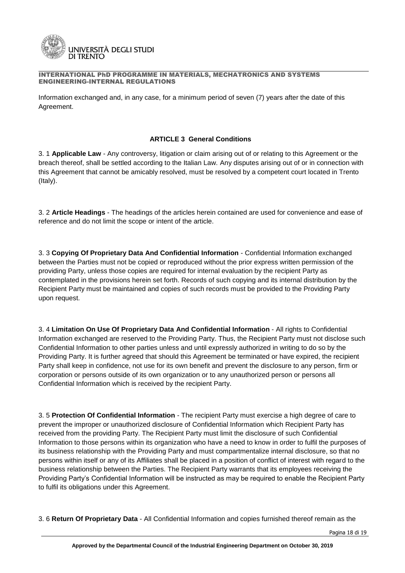

Information exchanged and, in any case, for a minimum period of seven (7) years after the date of this Agreement.

# **ARTICLE 3 General Conditions**

3. 1 **Applicable Law** - Any controversy, litigation or claim arising out of or relating to this Agreement or the breach thereof, shall be settled according to the Italian Law. Any disputes arising out of or in connection with this Agreement that cannot be amicably resolved, must be resolved by a competent court located in Trento (Italy).

3. 2 **Article Headings** - The headings of the articles herein contained are used for convenience and ease of reference and do not limit the scope or intent of the article.

3. 3 **Copying Of Proprietary Data And Confidential Information** - Confidential Information exchanged between the Parties must not be copied or reproduced without the prior express written permission of the providing Party, unless those copies are required for internal evaluation by the recipient Party as contemplated in the provisions herein set forth. Records of such copying and its internal distribution by the Recipient Party must be maintained and copies of such records must be provided to the Providing Party upon request.

3. 4 **Limitation On Use Of Proprietary Data And Confidential Information** - All rights to Confidential Information exchanged are reserved to the Providing Party. Thus, the Recipient Party must not disclose such Confidential Information to other parties unless and until expressly authorized in writing to do so by the Providing Party. It is further agreed that should this Agreement be terminated or have expired, the recipient Party shall keep in confidence, not use for its own benefit and prevent the disclosure to any person, firm or corporation or persons outside of its own organization or to any unauthorized person or persons all Confidential Information which is received by the recipient Party.

3. 5 **Protection Of Confidential Information** - The recipient Party must exercise a high degree of care to prevent the improper or unauthorized disclosure of Confidential Information which Recipient Party has received from the providing Party. The Recipient Party must limit the disclosure of such Confidential Information to those persons within its organization who have a need to know in order to fulfil the purposes of its business relationship with the Providing Party and must compartmentalize internal disclosure, so that no persons within itself or any of its Affiliates shall be placed in a position of conflict of interest with regard to the business relationship between the Parties. The Recipient Party warrants that its employees receiving the Providing Party's Confidential Information will be instructed as may be required to enable the Recipient Party to fulfil its obligations under this Agreement.

3. 6 **Return Of Proprietary Data** - All Confidential Information and copies furnished thereof remain as the

Pagina 18 di 19